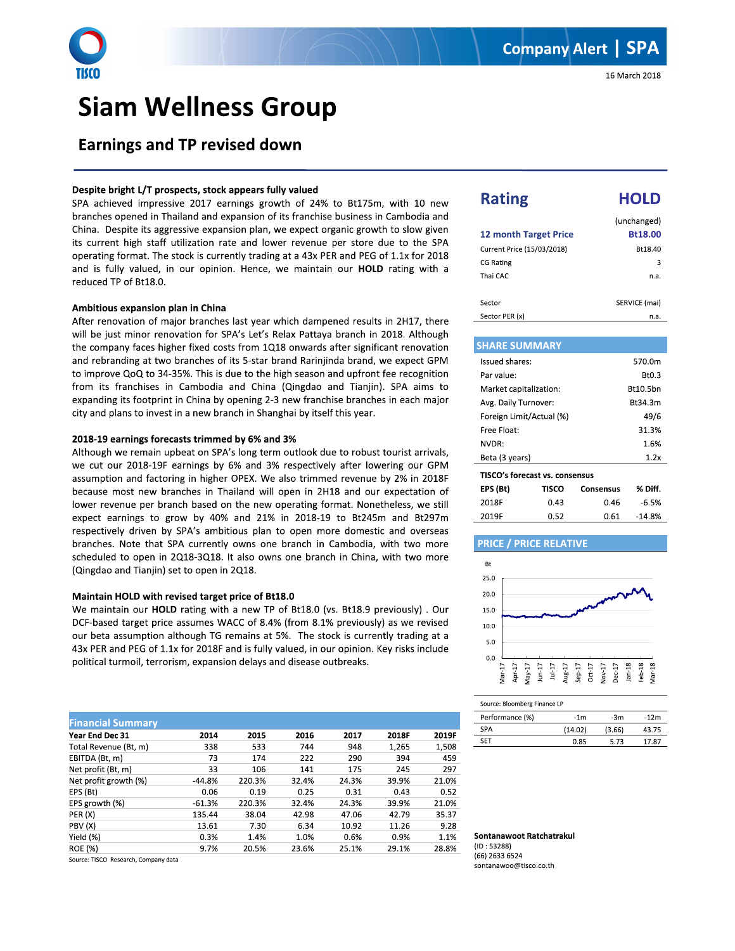

# **Siam Wellness Group**

### Despite bright L/T prospects, stock appears fully valued

SPA achieved impressive 2017 earnings growth of 24% to Bt175m, with 10 new branches opened in Thailand and expansion of its franchise business in Cambodia and China. Despite its aggressive expansion plan, we expect organic growth to slow given its current high staff utilization rate and lower revenue per store due to the SPA operating format. The stock is currently trading at a 43x PER and PEG of 1.1x for 2018 and is fully valued, in our opinion. Hence, we maintain our HOLD rating with a reduced TP of Bt18.0.

#### Ambitious expansion plan in China

After renovation of major branches last year which dampened results in 2H17, there will be just minor renovation for SPA's Let's Relax Pattaya branch in 2018. Although the company faces higher fixed costs from 1Q18 onwards after significant renovation and rebranding at two branches of its 5-star brand Rarinjinda brand, we expect GPM to improve QoQ to 34-35%. This is due to the high season and upfront fee recognition from its franchises in Cambodia and China (Qingdao and Tianjin). SPA aims to expanding its footprint in China by opening 2-3 new franchise branches in each major city and plans to invest in a new branch in Shanghai by itself this year.

#### 2018-19 earnings forecasts trimmed by 6% and 3%

Although we remain upbeat on SPA's long term outlook due to robust tourist arrivals, we cut our 2018-19F earnings by 6% and 3% respectively after lowering our GPM assumption and factoring in higher OPEX. We also trimmed revenue by 2% in 2018F because most new branches in Thailand will open in 2H18 and our expectation of lower revenue per branch based on the new operating format. Nonetheless, we still expect earnings to grow by 40% and 21% in 2018-19 to Bt245m and Bt297m respectively driven by SPA's ambitious plan to open more domestic and overseas branches. Note that SPA currently owns one branch in Cambodia, with two more scheduled to open in 2Q18-3Q18. It also owns one branch in China, with two more (Qingdao and Tianjin) set to open in 2Q18.

#### Maintain HOLD with revised target price of Bt18.0

We maintain our HOLD rating with a new TP of Bt18.0 (vs. Bt18.9 previously). Our DCF-based target price assumes WACC of 8.4% (from 8.1% previously) as we revised our beta assumption although TG remains at 5%. The stock is currently trading at a 43x PER and PEG of 1.1x for 2018F and is fully valued, in our opinion. Key risks include political turmoil, terrorism, expansion delays and disease outbreaks.

| <b>Financial Summary</b> |          |        |       |       |       |       |
|--------------------------|----------|--------|-------|-------|-------|-------|
| Year End Dec 31          | 2014     | 2015   | 2016  | 2017  | 2018F | 2019F |
| Total Revenue (Bt, m)    | 338      | 533    | 744   | 948   | 1,265 | 1,508 |
| EBITDA (Bt, m)           | 73       | 174    | 222   | 290   | 394   | 459   |
| Net profit (Bt, m)       | 33       | 106    | 141   | 175   | 245   | 297   |
| Net profit growth (%)    | $-44.8%$ | 220.3% | 32.4% | 24.3% | 39.9% | 21.0% |
| EPS (Bt)                 | 0.06     | 0.19   | 0.25  | 0.31  | 0.43  | 0.52  |
| EPS growth (%)           | $-61.3%$ | 220.3% | 32.4% | 24.3% | 39.9% | 21.0% |
| PER (X)                  | 135.44   | 38.04  | 42.98 | 47.06 | 42.79 | 35.37 |
| PBV (X)                  | 13.61    | 7.30   | 6.34  | 10.92 | 11.26 | 9.28  |
| Yield (%)                | 0.3%     | 1.4%   | 1.0%  | 0.6%  | 0.9%  | 1.1%  |
| <b>ROE</b> (%)           | 9.7%     | 20.5%  | 23.6% | 25.1% | 29.1% | 28.8% |
|                          |          |        |       |       |       |       |

Source: TISCO Research, Company data

n.a.

| <b>Rating</b>                | HOLD                   |
|------------------------------|------------------------|
| <b>12 month Target Price</b> | (unchanged)<br>Bt18.00 |
| Current Price (15/03/2018)   | Bt18.40                |
| <b>CG Rating</b>             | 3                      |
| Thai CAC                     | n.a.                   |
| Sector                       | SERVICE (mai)          |

#### **SHARE SUMMARY** Issued shares: 570.0m Par value: Bt0.3 Market capitalization: **Bt10.5bn** Avg. Daily Turnover: Bt34.3m Foreign Limit/Actual (%)  $49/6$ Free Float: 31.3% NVDR: 1.6% Beta (3 years)  $1.2x$ TISCO's forecast vs. consensus E

| EPS (Bt) | TISCO | Consensus | % Diff. |
|----------|-------|-----------|---------|
| 2018F    | 0.43  | 0.46      | -6.5%   |
| 2019F    | 0.52  | 0.61      | -14.8%  |
|          |       |           |         |

## **PRICE / PRICE RELATIVE**

Sector PER (x)



| Source: Bloomberg Finance LP |         |        |        |  |
|------------------------------|---------|--------|--------|--|
| Performance (%)              | $-1m$   | $-3m$  | $-12m$ |  |
| <b>SPA</b>                   | (14.02) | (3.66) | 43.75  |  |
| <b>SFT</b>                   | 0.85    | 5 73   | 17.87  |  |

Sontanawoot Ratchatrakul  $(ID: 53288)$ (66) 2633 6524 sontanawoo@tisco.co.th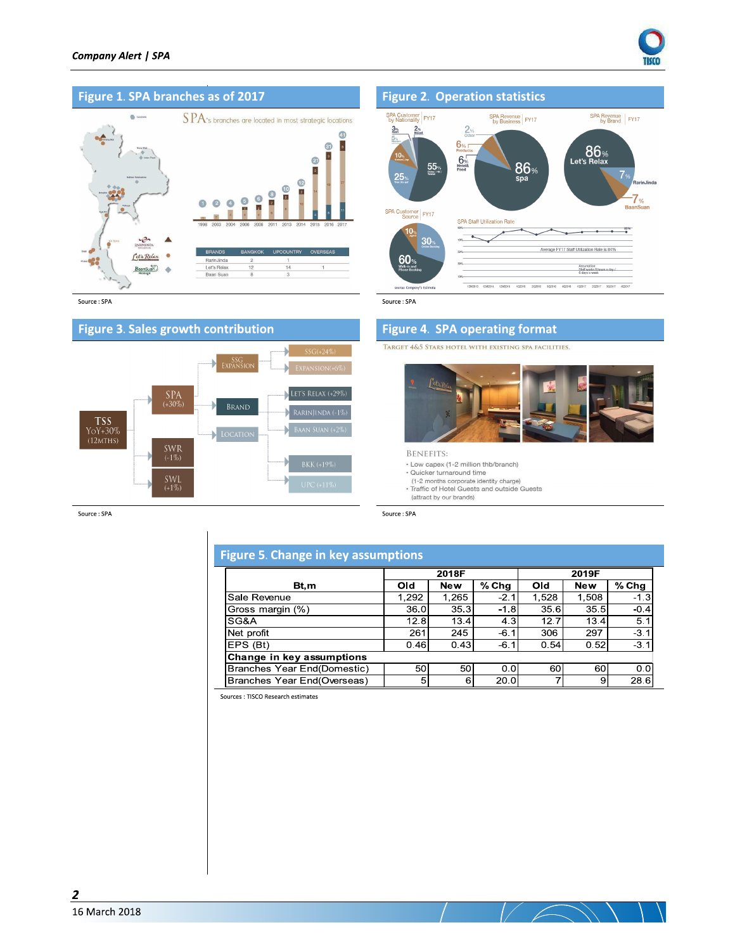



Source : SPA



Source: SPA



Source: SPA

## **Figure 4. SPA operating format**

TARGET 4&5 STARS HOTEL WITH EXISTING SPA FACILITIES.



**BENEFITS:** 

- Low capex (1-2 million thb/branch)
- · Quicker turnaround time
- (1-2 months corporate identity charge)<br>• Traffic of Hotel Guests and outside Guests
- (attract by our brands)

Source: SPA

## **Figure 5. Change in key assumptions**

|                             | 2018F |            |         | 2019F |            |         |
|-----------------------------|-------|------------|---------|-------|------------|---------|
| Bt,m                        | Old   | <b>New</b> | $%$ Chg | Old   | <b>New</b> | $%$ Chg |
| Sale Revenue                | 1,292 | 1.265      | $-2.1$  | 1,528 | 1,508      | $-1.3$  |
| Gross margin (%)            | 36.0  | 35.3       | $-1.8$  | 35.6  | 35.5       | $-0.4$  |
| SG&A                        | 12.8  | 13.4       | 4.3     | 12.7  | 13.4       | 5.1     |
| Net profit                  | 261   | 245        | $-6.1$  | 306   | 297        | $-3.1$  |
| EPS (Bt)                    | 0.46  | 0.43       | $-6.1$  | 0.54  | 0.52       | $-3.1$  |
| Change in key assumptions   |       |            |         |       |            |         |
| Branches Year End(Domestic) | 50    | 50         | 0.0     | 60    | 60         | 0.0     |
| Branches Year End(Overseas) | 5     | 6          | 20.0    |       | 9          | 28.6    |

Sources : TISCO Research estimates